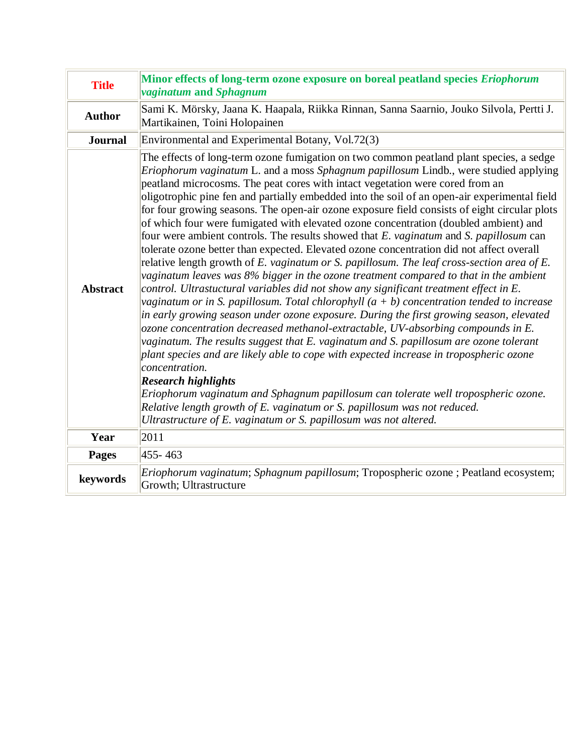| <b>Title</b>    | Minor effects of long-term ozone exposure on boreal peatland species Eriophorum<br><i>vaginatum</i> and Sphagnum                                                                                                                                                                                                                                                                                                                                                                                                                                                                                                                                                                                                                                                                                                                                                                                                                                                                                                                                                                                                                                                                                                                                                                                                                                                                                                                                                                                                                                                                                                                                                                                                                                                                                    |
|-----------------|-----------------------------------------------------------------------------------------------------------------------------------------------------------------------------------------------------------------------------------------------------------------------------------------------------------------------------------------------------------------------------------------------------------------------------------------------------------------------------------------------------------------------------------------------------------------------------------------------------------------------------------------------------------------------------------------------------------------------------------------------------------------------------------------------------------------------------------------------------------------------------------------------------------------------------------------------------------------------------------------------------------------------------------------------------------------------------------------------------------------------------------------------------------------------------------------------------------------------------------------------------------------------------------------------------------------------------------------------------------------------------------------------------------------------------------------------------------------------------------------------------------------------------------------------------------------------------------------------------------------------------------------------------------------------------------------------------------------------------------------------------------------------------------------------------|
| <b>Author</b>   | Sami K. Mörsky, Jaana K. Haapala, Riikka Rinnan, Sanna Saarnio, Jouko Silvola, Pertti J.<br>Martikainen, Toini Holopainen                                                                                                                                                                                                                                                                                                                                                                                                                                                                                                                                                                                                                                                                                                                                                                                                                                                                                                                                                                                                                                                                                                                                                                                                                                                                                                                                                                                                                                                                                                                                                                                                                                                                           |
| <b>Journal</b>  | Environmental and Experimental Botany, Vol.72(3)                                                                                                                                                                                                                                                                                                                                                                                                                                                                                                                                                                                                                                                                                                                                                                                                                                                                                                                                                                                                                                                                                                                                                                                                                                                                                                                                                                                                                                                                                                                                                                                                                                                                                                                                                    |
| <b>Abstract</b> | The effects of long-term ozone fumigation on two common peatland plant species, a sedge<br><i>Eriophorum vaginatum</i> L. and a moss <i>Sphagnum papillosum</i> Lindb., were studied applying<br>peatland microcosms. The peat cores with intact vegetation were cored from an<br>oligotrophic pine fen and partially embedded into the soil of an open-air experimental field<br>for four growing seasons. The open-air ozone exposure field consists of eight circular plots<br>of which four were fumigated with elevated ozone concentration (doubled ambient) and<br>four were ambient controls. The results showed that E. vaginatum and S. papillosum can<br>tolerate ozone better than expected. Elevated ozone concentration did not affect overall<br>relative length growth of E. vaginatum or S. papillosum. The leaf cross-section area of E.<br>vaginatum leaves was 8% bigger in the ozone treatment compared to that in the ambient<br>control. Ultrastuctural variables did not show any significant treatment effect in E.<br>vaginatum or in S. papillosum. Total chlorophyll $(a + b)$ concentration tended to increase<br>in early growing season under ozone exposure. During the first growing season, elevated<br>ozone concentration decreased methanol-extractable, UV-absorbing compounds in E.<br>vaginatum. The results suggest that E. vaginatum and S. papillosum are ozone tolerant<br>plant species and are likely able to cope with expected increase in tropospheric ozone<br>concentration.<br><b>Research highlights</b><br>Eriophorum vaginatum and Sphagnum papillosum can tolerate well tropospheric ozone.<br>Relative length growth of E. vaginatum or S. papillosum was not reduced.<br>Ultrastructure of E. vaginatum or S. papillosum was not altered. |
| Year            | 2011                                                                                                                                                                                                                                                                                                                                                                                                                                                                                                                                                                                                                                                                                                                                                                                                                                                                                                                                                                                                                                                                                                                                                                                                                                                                                                                                                                                                                                                                                                                                                                                                                                                                                                                                                                                                |
| <b>Pages</b>    | 455-463                                                                                                                                                                                                                                                                                                                                                                                                                                                                                                                                                                                                                                                                                                                                                                                                                                                                                                                                                                                                                                                                                                                                                                                                                                                                                                                                                                                                                                                                                                                                                                                                                                                                                                                                                                                             |
| keywords        | Eriophorum vaginatum; Sphagnum papillosum; Tropospheric ozone ; Peatland ecosystem;<br>Growth; Ultrastructure                                                                                                                                                                                                                                                                                                                                                                                                                                                                                                                                                                                                                                                                                                                                                                                                                                                                                                                                                                                                                                                                                                                                                                                                                                                                                                                                                                                                                                                                                                                                                                                                                                                                                       |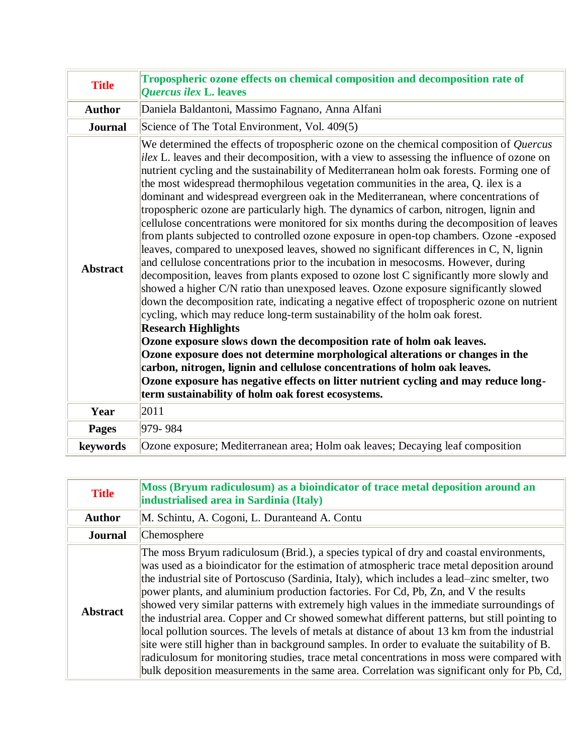| <b>Title</b>    | Tropospheric ozone effects on chemical composition and decomposition rate of<br><b>Ouercus ilex L. leaves</b>                                                                                                                                                                                                                                                                                                                                                                                                                                                                                                                                                                                                                                                                                                                                                                                                                                                                                                                                                                                                                                                                                                                                                                                                                                                                                                                                                                                                                                                                                                                                                                                                      |
|-----------------|--------------------------------------------------------------------------------------------------------------------------------------------------------------------------------------------------------------------------------------------------------------------------------------------------------------------------------------------------------------------------------------------------------------------------------------------------------------------------------------------------------------------------------------------------------------------------------------------------------------------------------------------------------------------------------------------------------------------------------------------------------------------------------------------------------------------------------------------------------------------------------------------------------------------------------------------------------------------------------------------------------------------------------------------------------------------------------------------------------------------------------------------------------------------------------------------------------------------------------------------------------------------------------------------------------------------------------------------------------------------------------------------------------------------------------------------------------------------------------------------------------------------------------------------------------------------------------------------------------------------------------------------------------------------------------------------------------------------|
| <b>Author</b>   | Daniela Baldantoni, Massimo Fagnano, Anna Alfani                                                                                                                                                                                                                                                                                                                                                                                                                                                                                                                                                                                                                                                                                                                                                                                                                                                                                                                                                                                                                                                                                                                                                                                                                                                                                                                                                                                                                                                                                                                                                                                                                                                                   |
| <b>Journal</b>  | Science of The Total Environment, Vol. 409(5)                                                                                                                                                                                                                                                                                                                                                                                                                                                                                                                                                                                                                                                                                                                                                                                                                                                                                                                                                                                                                                                                                                                                                                                                                                                                                                                                                                                                                                                                                                                                                                                                                                                                      |
| <b>Abstract</b> | We determined the effects of tropospheric ozone on the chemical composition of Quercus<br>ilex L. leaves and their decomposition, with a view to assessing the influence of ozone on<br>nutrient cycling and the sustainability of Mediterranean holm oak forests. Forming one of<br>the most widespread thermophilous vegetation communities in the area, Q. ilex is a<br>dominant and widespread evergreen oak in the Mediterranean, where concentrations of<br>tropospheric ozone are particularly high. The dynamics of carbon, nitrogen, lignin and<br>cellulose concentrations were monitored for six months during the decomposition of leaves<br>from plants subjected to controlled ozone exposure in open-top chambers. Ozone -exposed<br>leaves, compared to unexposed leaves, showed no significant differences in C, N, lignin<br>and cellulose concentrations prior to the incubation in mesocosms. However, during<br>decomposition, leaves from plants exposed to ozone lost C significantly more slowly and<br>showed a higher C/N ratio than unexposed leaves. Ozone exposure significantly slowed<br>down the decomposition rate, indicating a negative effect of tropospheric ozone on nutrient<br>cycling, which may reduce long-term sustainability of the holm oak forest.<br><b>Research Highlights</b><br>Ozone exposure slows down the decomposition rate of holm oak leaves.<br>Ozone exposure does not determine morphological alterations or changes in the<br>carbon, nitrogen, lignin and cellulose concentrations of holm oak leaves.<br>Ozone exposure has negative effects on litter nutrient cycling and may reduce long-<br>term sustainability of holm oak forest ecosystems. |
| Year            | 2011                                                                                                                                                                                                                                                                                                                                                                                                                                                                                                                                                                                                                                                                                                                                                                                                                                                                                                                                                                                                                                                                                                                                                                                                                                                                                                                                                                                                                                                                                                                                                                                                                                                                                                               |
| <b>Pages</b>    | 979-984                                                                                                                                                                                                                                                                                                                                                                                                                                                                                                                                                                                                                                                                                                                                                                                                                                                                                                                                                                                                                                                                                                                                                                                                                                                                                                                                                                                                                                                                                                                                                                                                                                                                                                            |
| keywords        | Ozone exposure; Mediterranean area; Holm oak leaves; Decaying leaf composition                                                                                                                                                                                                                                                                                                                                                                                                                                                                                                                                                                                                                                                                                                                                                                                                                                                                                                                                                                                                                                                                                                                                                                                                                                                                                                                                                                                                                                                                                                                                                                                                                                     |

| <b>Title</b>    | Moss (Bryum radiculosum) as a bioindicator of trace metal deposition around an<br>industrialised area in Sardinia (Italy)                                                                                                                                                                                                                                                                                                                                                                                                                                                                                                                                                                                                                                                                                                                                                                                                                                            |
|-----------------|----------------------------------------------------------------------------------------------------------------------------------------------------------------------------------------------------------------------------------------------------------------------------------------------------------------------------------------------------------------------------------------------------------------------------------------------------------------------------------------------------------------------------------------------------------------------------------------------------------------------------------------------------------------------------------------------------------------------------------------------------------------------------------------------------------------------------------------------------------------------------------------------------------------------------------------------------------------------|
| <b>Author</b>   | M. Schintu, A. Cogoni, L. Duranteand A. Contu                                                                                                                                                                                                                                                                                                                                                                                                                                                                                                                                                                                                                                                                                                                                                                                                                                                                                                                        |
| <b>Journal</b>  | Chemosphere                                                                                                                                                                                                                                                                                                                                                                                                                                                                                                                                                                                                                                                                                                                                                                                                                                                                                                                                                          |
| <b>Abstract</b> | The moss Bryum radiculosum (Brid.), a species typical of dry and coastal environments,<br>was used as a bioindicator for the estimation of atmospheric trace metal deposition around<br>the industrial site of Portoscuso (Sardinia, Italy), which includes a lead–zinc smelter, two<br>power plants, and aluminium production factories. For Cd, Pb, Zn, and V the results<br>showed very similar patterns with extremely high values in the immediate surroundings of<br>the industrial area. Copper and Cr showed somewhat different patterns, but still pointing to<br>local pollution sources. The levels of metals at distance of about 13 km from the industrial<br>site were still higher than in background samples. In order to evaluate the suitability of B.<br>radiculosum for monitoring studies, trace metal concentrations in moss were compared with<br>bulk deposition measurements in the same area. Correlation was significant only for Pb, Cd, |